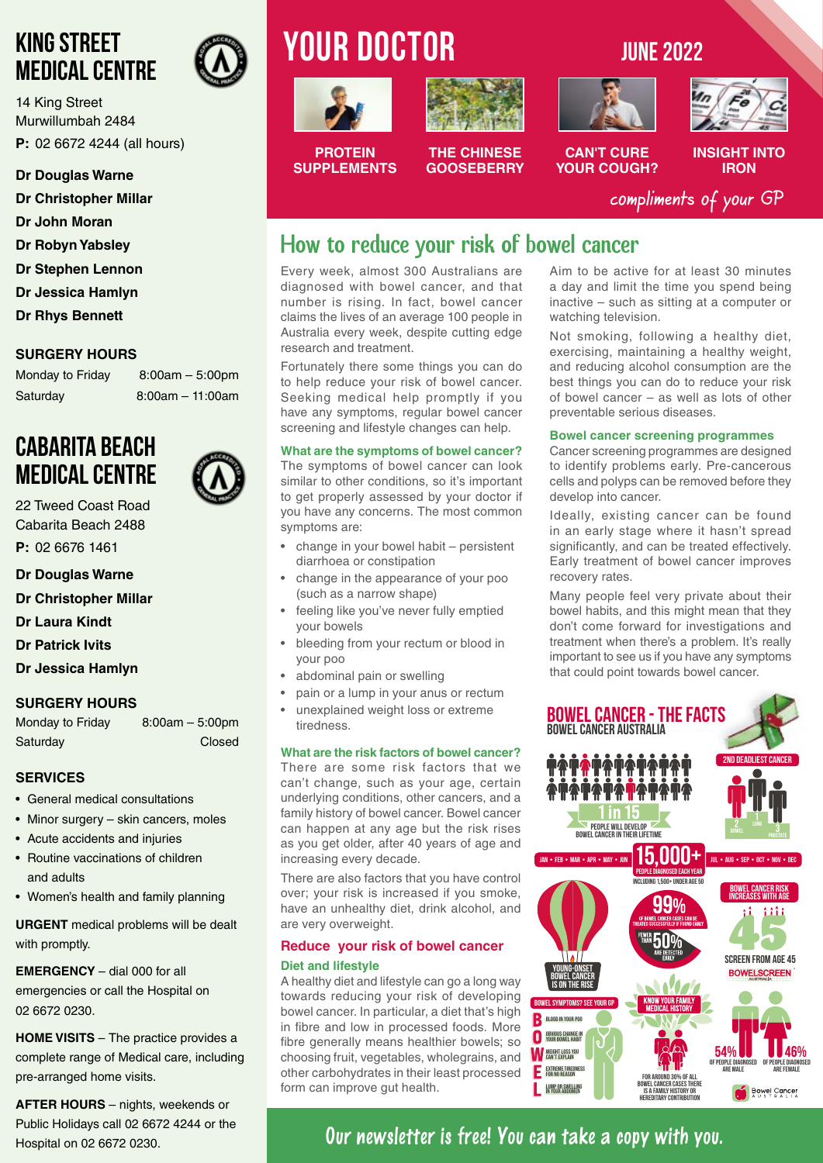### **KING STREET MEDICAL CENTRE**

14 King Street Murwillumbah 2484 **P:** 02 6672 4244 (all hours)

#### **Dr Douglas Warne**

- **Dr Christopher Millar**
- **Dr John Moran**
- **Dr Robyn Yabsley**
- **Dr Stephen Lennon**
- **Dr Jessica Hamlyn**
- **Dr Rhys Bennett**

### **SURGERY HOURS**

Monday to Friday 8:00am - 5:00pm Saturday 8:00am – 11:00am

### **CABARITA BEACH MEDICAL CENTRE**

22 Tweed Coast Road Cabarita Beach 2488

**P:** 02 6676 1461

**Dr Douglas Warne**

**Dr Christopher Millar**

**Dr Laura Kindt**

**Dr Patrick Ivits**

**Dr Jessica Hamlyn**

### **SURGERY HOURS**

Monday to Friday 8:00am – 5:00pm Saturday **Closed** 

#### **SERVICES**

- General medical consultations
- Minor surgery skin cancers, moles
- Acute accidents and injuries
- Routine vaccinations of children and adults
- Women's health and family planning

**URGENT** medical problems will be dealt with promptly.

**EMERGENCY** – dial 000 for all emergencies or call the Hospital on 02 6672 0230.

**HOME VISITS** – The practice provides a complete range of Medical care, including pre-arranged home visits.

**AFTER HOURS** – nights, weekends or Public Holidays call 02 6672 4244 or the Hospital on 02 6672 0230.

# **YOUR DOCTOR** JUNE 2022





**THE CHINESE GOOSEBERRY**



**CAN'T CURE YOUR COUGH?**



**INSIGHT INTO IRON**

compliments of your GP

### How to reduce your risk of bowel cancer

Every week, almost 300 Australians are diagnosed with bowel cancer, and that number is rising. In fact, bowel cancer claims the lives of an average 100 people in Australia every week, despite cutting edge research and treatment.

Fortunately there some things you can do to help reduce your risk of bowel cancer. Seeking medical help promptly if you have any symptoms, regular bowel cancer screening and lifestyle changes can help.

#### **What are the symptoms of bowel cancer?**

The symptoms of bowel cancer can look similar to other conditions, so it's important to get properly assessed by your doctor if you have any concerns. The most common symptoms are:

- change in your bowel habit persistent diarrhoea or constipation
- change in the appearance of your poo (such as a narrow shape)
- feeling like you've never fully emptied your bowels
- bleeding from your rectum or blood in your poo
- abdominal pain or swelling
- pain or a lump in your anus or rectum • unexplained weight loss or extreme
- tiredness.

#### **What are the risk factors of bowel cancer?**

There are some risk factors that we can't change, such as your age, certain underlying conditions, other cancers, and a family history of bowel cancer. Bowel cancer can happen at any age but the risk rises as you get older, after 40 years of age and increasing every decade.

There are also factors that you have control over; your risk is increased if you smoke, have an unhealthy diet, drink alcohol, and are very overweight.

#### **Reduce your risk of bowel cancer Diet and lifestyle**

A healthy diet and lifestyle can go a long way towards reducing your risk of developing bowel cancer. In particular, a diet that's high in fibre and low in processed foods. More fibre generally means healthier bowels; so choosing fruit, vegetables, wholegrains, and other carbohydrates in their least processed form can improve gut health.

Aim to be active for at least 30 minutes a day and limit the time you spend being inactive – such as sitting at a computer or watching television.

Not smoking, following a healthy diet, exercising, maintaining a healthy weight, and reducing alcohol consumption are the best things you can do to reduce your risk of bowel cancer – as well as lots of other preventable serious diseases.

#### **Bowel cancer screening programmes**

Cancer screening programmes are designed to identify problems early. Pre-cancerous cells and polyps can be removed before they develop into cancer.

Ideally, existing cancer can be found in an early stage where it hasn't spread significantly, and can be treated effectively. Early treatment of bowel cancer improves recovery rates.

Many people feel very private about their bowel habits, and this might mean that they don't come forward for investigations and treatment when there's a problem. It's really important to see us if you have any symptoms that could point towards bowel cancer.



### **Our newsletter is free! You can take a copy with you.**

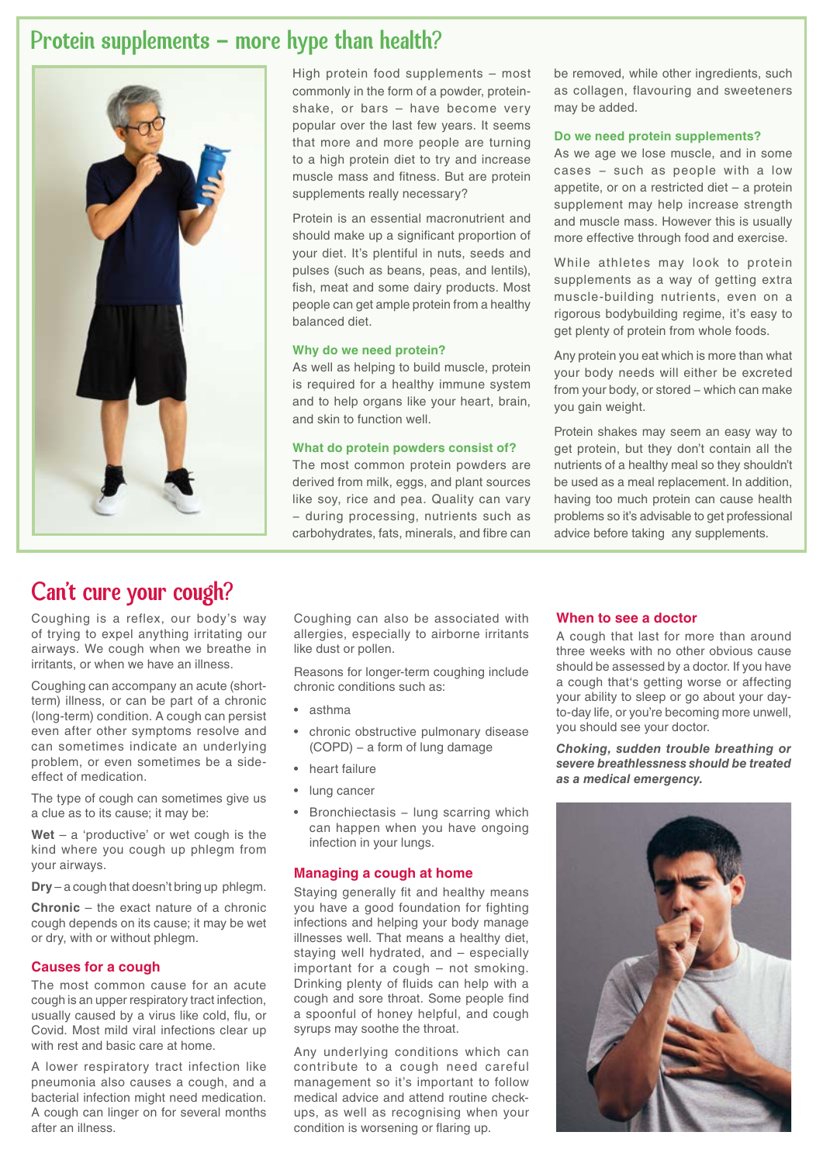### Protein supplements - more hype than health?



High protein food supplements – most commonly in the form of a powder, proteinshake, or bars – have become very popular over the last few years. It seems that more and more people are turning to a high protein diet to try and increase muscle mass and fitness. But are protein supplements really necessary?

Protein is an essential macronutrient and should make up a significant proportion of your diet. It's plentiful in nuts, seeds and pulses (such as beans, peas, and lentils), fish, meat and some dairy products. Most people can get ample protein from a healthy balanced diet.

#### **Why do we need protein?**

As well as helping to build muscle, protein is required for a healthy immune system and to help organs like your heart, brain, and skin to function well.

#### **What do protein powders consist of?**

The most common protein powders are derived from milk, eggs, and plant sources like soy, rice and pea. Quality can vary − during processing, nutrients such as carbohydrates, fats, minerals, and fibre can

be removed, while other ingredients, such as collagen, flavouring and sweeteners may be added.

#### **Do we need protein supplements?**

As we age we lose muscle, and in some cases − such as people with a low appetite, or on a restricted diet – a protein supplement may help increase strength and muscle mass. However this is usually more effective through food and exercise.

While athletes may look to protein supplements as a way of getting extra muscle-building nutrients, even on a rigorous bodybuilding regime, it's easy to get plenty of protein from whole foods.

Any protein you eat which is more than what your body needs will either be excreted from your body, or stored – which can make you gain weight.

Protein shakes may seem an easy way to get protein, but they don't contain all the nutrients of a healthy meal so they shouldn't be used as a meal replacement. In addition, having too much protein can cause health problems so it's advisable to get professional advice before taking any supplements.

### Can't cure your cough?

Coughing is a reflex, our body's way of trying to expel anything irritating our airways. We cough when we breathe in irritants, or when we have an illness.

Coughing can accompany an acute (shortterm) illness, or can be part of a chronic (long-term) condition. A cough can persist even after other symptoms resolve and can sometimes indicate an underlying problem, or even sometimes be a sideeffect of medication.

The type of cough can sometimes give us a clue as to its cause; it may be:

**Wet** – a 'productive' or wet cough is the kind where you cough up phlegm from your airways.

**Dry** – a cough that doesn't bring up phlegm.

**Chronic** – the exact nature of a chronic cough depends on its cause; it may be wet or dry, with or without phlegm.

#### **Causes for a cough**

The most common cause for an acute cough is an upper respiratory tract infection, usually caused by a virus like cold, flu, or Covid. Most mild viral infections clear up with rest and basic care at home.

A lower respiratory tract infection like pneumonia also causes a cough, and a bacterial infection might need medication. A cough can linger on for several months after an illness.

Coughing can also be associated with allergies, especially to airborne irritants like dust or pollen.

Reasons for longer-term coughing include chronic conditions such as:

- asthma
- chronic obstructive pulmonary disease (COPD) − a form of lung damage
- heart failure
- lung cancer
- Bronchiectasis − lung scarring which can happen when you have ongoing infection in your lungs.

#### **Managing a cough at home**

Staying generally fit and healthy means you have a good foundation for fighting infections and helping your body manage illnesses well. That means a healthy diet, staying well hydrated, and – especially important for a cough – not smoking. Drinking plenty of fluids can help with a cough and sore throat. Some people find a spoonful of honey helpful, and cough syrups may soothe the throat.

Any underlying conditions which can contribute to a cough need careful management so it's important to follow medical advice and attend routine checkups, as well as recognising when your condition is worsening or flaring up.

#### **When to see a doctor**

A cough that last for more than around three weeks with no other obvious cause should be assessed by a doctor. If you have a cough that's getting worse or affecting your ability to sleep or go about your dayto-day life, or you're becoming more unwell, you should see your doctor.

*Choking, sudden trouble breathing or severe breathlessness should be treated as a medical emergency.* 

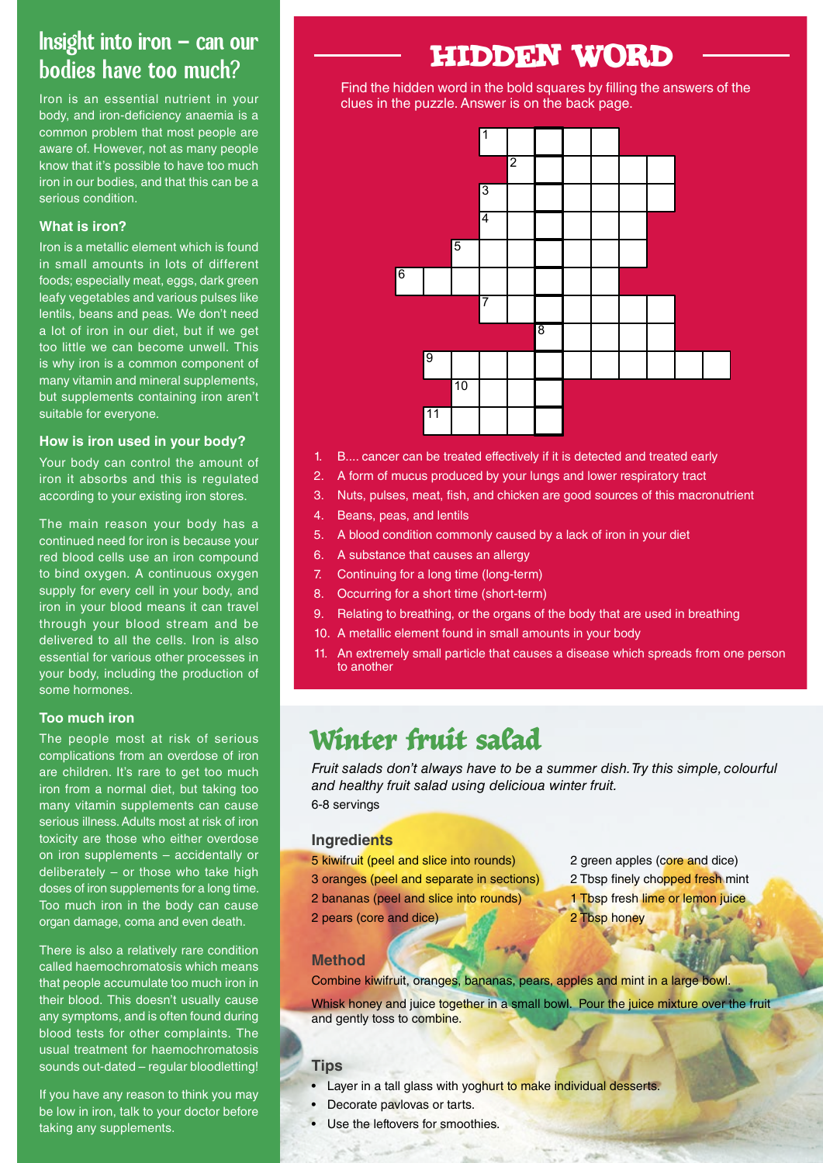### Insight into iron  $-$  can our bodies have too much?

Iron is an essential nutrient in your body, and iron-deficiency anaemia is a common problem that most people are aware of. However, not as many people know that it's possible to have too much iron in our bodies, and that this can be a serious condition.

#### **What is iron?**

Iron is a metallic element which is found in small amounts in lots of different foods; especially meat, eggs, dark green leafy vegetables and various pulses like lentils, beans and peas. We don't need a lot of iron in our diet, but if we get too little we can become unwell. This is why iron is a common component of many vitamin and mineral supplements, but supplements containing iron aren't suitable for everyone.

#### **How is iron used in your body?**

Your body can control the amount of iron it absorbs and this is regulated  $\begin{bmatrix} 2. & A \text{ form of} \end{bmatrix}$ according to your existing iron stores.

The main reason your body has a The main reason your bouy has a<br>continued need for iron is because your red blood cells use an iron compound to bind oxygen. A continuous oxygen supply for every cell in your body, and iron in your blood means it can travel through your blood stream and be delivered to all the cells. Iron is also essential for various other processes in your body, including the production of some hormones. 6. A substance that causes an allergy

#### **Too much iron**

The people most at risk of serious complications from an overdose of iron are children. It's rare to get too much iron from a normal diet, but taking too many vitamin supplements can cause serious illness. Adults most at risk of iron toxicity are those who either overdose on iron supplements – accidentally or deliberately  $-$  or those who take high doses of iron supplements for a long time. Too much iron in the body can cause organ damage, coma and even death.  $\frac{1}{2}$ . An extremely small particle that causes a disease which spreads from one person to another person to another person to another person to another person to another person to another person to another person to an

There is also a relatively rare condition called haemochromatosis which means that people accumulate too much iron in their blood. This doesn't usually cause any symptoms, and is often found during blood tests for other complaints. The usual treatment for haemochromatosis sounds out-dated – regular bloodletting!

If you have any reason to think you may be low in iron, talk to your doctor before taking any supplements.

## HIDDEN WORD

Find the hidden word in the bold squares by filling the answers of the clues in the puzzle. The puzzle of the puzzle of the puzzle. The puzzle of the puzzle of the puzzle of the puzzle of the puzzle of the puzzle of the pu clues in the puzzle. Answer is on the back page.



- 1. B.... cancer can be treated effectively if it is detected and treated early
- 2. A form of mucus produced by your lungs and lower respiratory tract
- 3. Nuts, pulses, meat, fish, and chicken are good sources of this macronutrient
- 4. Beans, peas, and lentils
- 5. A blood condition commonly caused by a lack of iron in your diet
- 6. A substance that causes an allergy
- bus oxygen **be tracted and treated and treated and treated and treated and treated early in the canonical experimental and treated and treated and treated and treated and treated and treated and treated and treated and tre**
- r body, and **by and allower respirators and lower respirators** and lower respiratory tractory tractory tractory t<br>8. Occurring for a short time (short-term)
	- 9. Relating to breathing, or the organs of the body that are used in breathing
- 3. Nuts, pulses, meat, and chief this meansure of this meansure of this meansure are good sources of this macronutrient in your body.
- $\frac{1}{100}$  beans, and leads in the lentils of the stremely small particle that causes a disease which spreads from one person  $\text{Solution of}$  **b**  $\blacksquare$  **computer** by a lack of iron in  $\blacksquare$  is a lack of iron in  $\blacksquare$  in  $\blacksquare$  is a lack of iron in  $\blacksquare$ to another

#### Winter fruit salad 7. Continuing for a long time (long-term) **8. Occurring for a short-term is the state**

<sup>1</sup> Fruit salads don't always have to be a summer dish. Try this simple, colourful it too much are used to be the body that are used to be a summer dish. Try this simple, colourful *and healthy fruit salad using delicioua winter fruit.* 6-8 servings  $\frac{1}{10}$  metalling to  $\frac{1}{10}$  found in small amounts in  $\frac{1}{10}$  for  $\frac{1}{10}$  for  $\frac{1}{10}$  for  $\frac{1}{10}$  for  $\frac{1}{10}$  for  $\frac{1}{10}$  for  $\frac{1}{10}$  for  $\frac{1}{10}$  for  $\frac{1}{10}$  for  $\frac{1}{10}$  for  $\frac{1}{10}$ 

#### **Ingredients**

5 kiwifruit (peel and slice into rounds) 3 oranges (peel and separate in sections) 2 bananas (peel and slice into rounds) 2 pears (core and dice)

- 2 green apples (core and dice)
- 2 Tbsp finely chopped fresh mint
- 1 Tbsp fresh lime or lemon juice
- 2 Tbsp honey

#### **Method**

Combine kiwifruit, oranges, bananas, pears, apples and mint in a large bowl.

Whisk honey and juice together in a small bowl. Pour the juice mixture over the fruit and gently toss to combine.

### **Tips**

- Layer in a tall glass with yoghurt to make individual desserts.
- Decorate paylovas or tarts.
- Use the leftovers for smoothies.